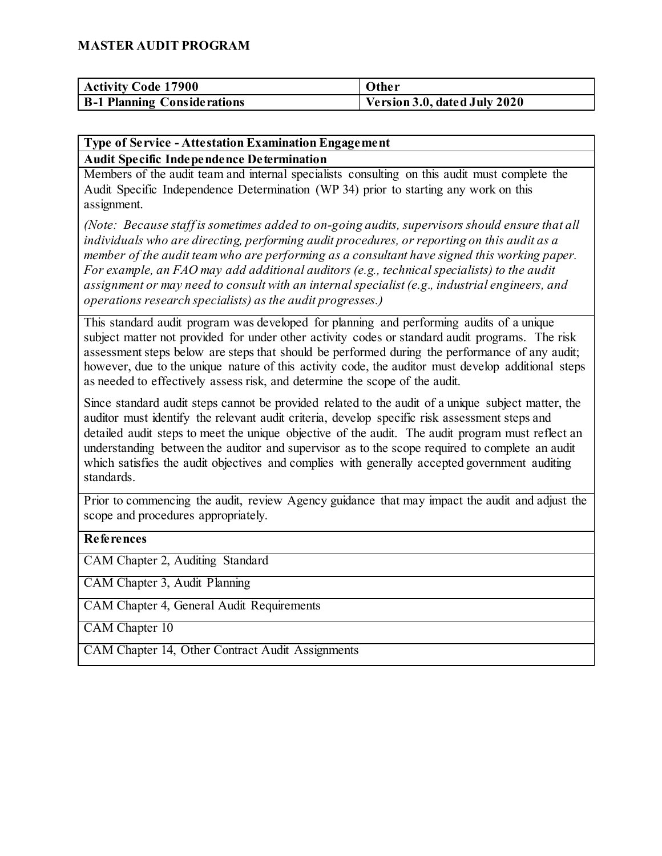| <b>Activity Code 17900</b>         | Other                          |
|------------------------------------|--------------------------------|
| <b>B-1 Planning Considerations</b> | Version 3.0, dated July $2020$ |

#### **Type of Service - Attestation Examination Engagement**

**Audit Specific Independence Determination** 

Members of the audit team and internal specialists consulting on this audit must complete the Audit Specific Independence Determination (WP 34) prior to starting any work on this assignment.

*(Note: Because staff is sometimes added to on-going audits, supervisors should ensure that all individuals who are directing, performing audit procedures, or reporting on this audit as a member of the audit team who are performing as a consultant have signed this working paper. For example, an FAO may add additional auditors (e.g., technical specialists) to the audit assignment or may need to consult with an internal specialist (e.g., industrial engineers, and operations research specialists) as the audit progresses.)*

This standard audit program was developed for planning and performing audits of a unique subject matter not provided for under other activity codes or standard audit programs. The risk assessment steps below are steps that should be performed during the performance of any audit; however, due to the unique nature of this activity code, the auditor must develop additional steps as needed to effectively assess risk, and determine the scope of the audit.

Since standard audit steps cannot be provided related to the audit of a unique subject matter, the auditor must identify the relevant audit criteria, develop specific risk assessment steps and detailed audit steps to meet the unique objective of the audit. The audit program must reflect an understanding between the auditor and supervisor as to the scope required to complete an audit which satisfies the audit objectives and complies with generally accepted government auditing standards.

Prior to commencing the audit, review Agency guidance that may impact the audit and adjust the scope and procedures appropriately.

#### **References**

CAM Chapter 2, Auditing Standard

CAM Chapter 3, Audit Planning

CAM Chapter 4, General Audit Requirements

CAM Chapter 10

CAM Chapter 14, Other Contract Audit Assignments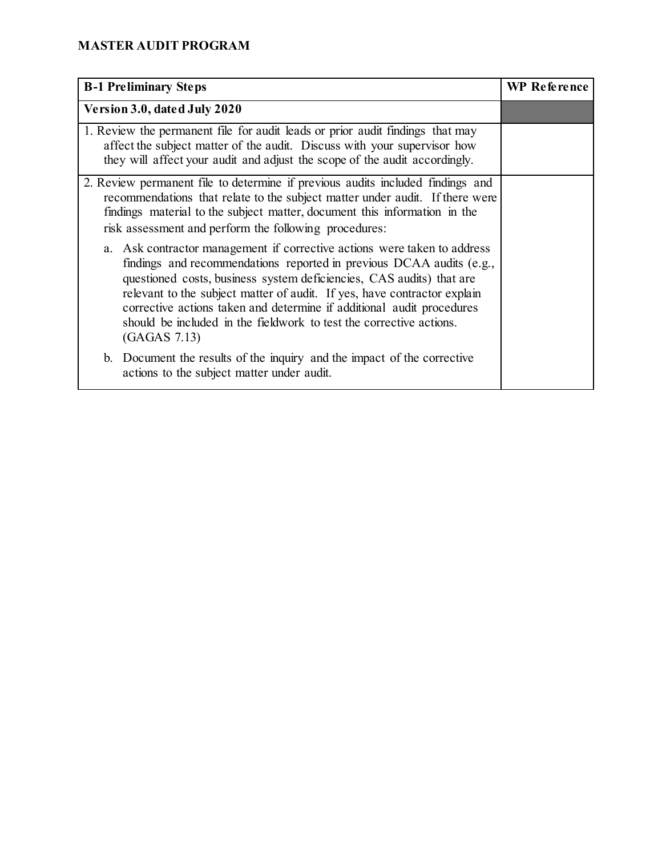| <b>B-1 Preliminary Steps</b>                                                                                                                                                                                                                                                                                                                                                                                                                                         | <b>WP Reference</b> |
|----------------------------------------------------------------------------------------------------------------------------------------------------------------------------------------------------------------------------------------------------------------------------------------------------------------------------------------------------------------------------------------------------------------------------------------------------------------------|---------------------|
| Version 3.0, dated July 2020                                                                                                                                                                                                                                                                                                                                                                                                                                         |                     |
| 1. Review the permanent file for audit leads or prior audit findings that may<br>affect the subject matter of the audit. Discuss with your supervisor how<br>they will affect your audit and adjust the scope of the audit accordingly.                                                                                                                                                                                                                              |                     |
| 2. Review permanent file to determine if previous audits included findings and<br>recommendations that relate to the subject matter under audit. If there were<br>findings material to the subject matter, document this information in the<br>risk assessment and perform the following procedures:                                                                                                                                                                 |                     |
| a. Ask contractor management if corrective actions were taken to address<br>findings and recommendations reported in previous DCAA audits (e.g.,<br>questioned costs, business system deficiencies, CAS audits) that are<br>relevant to the subject matter of audit. If yes, have contractor explain<br>corrective actions taken and determine if additional audit procedures<br>should be included in the fieldwork to test the corrective actions.<br>(GAGAS 7.13) |                     |
| b. Document the results of the inquiry and the impact of the corrective<br>actions to the subject matter under audit.                                                                                                                                                                                                                                                                                                                                                |                     |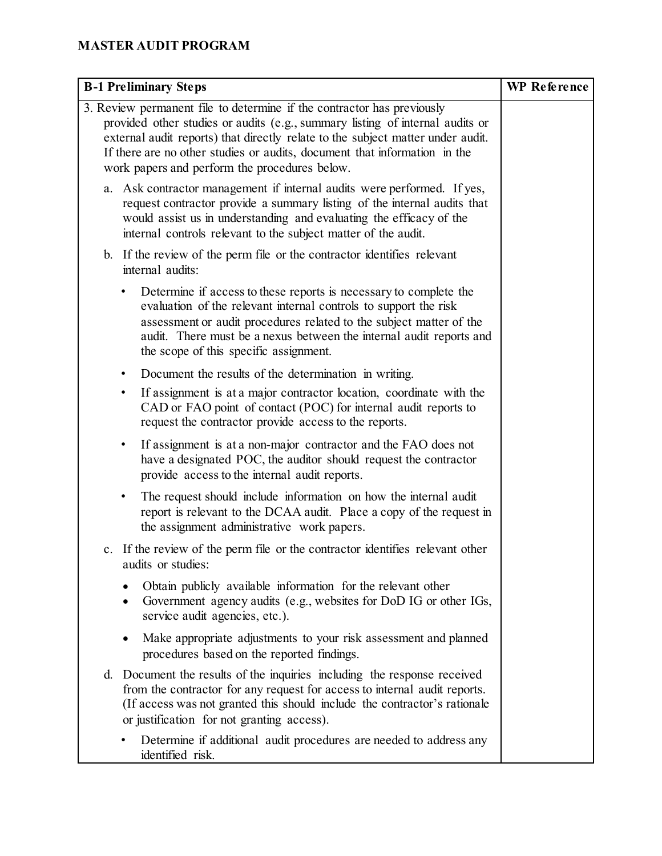| <b>B-1 Preliminary Steps</b>                                                                                                                                                                                                                                                                                                                                             | <b>WP</b> Reference |
|--------------------------------------------------------------------------------------------------------------------------------------------------------------------------------------------------------------------------------------------------------------------------------------------------------------------------------------------------------------------------|---------------------|
| 3. Review permanent file to determine if the contractor has previously<br>provided other studies or audits (e.g., summary listing of internal audits or<br>external audit reports) that directly relate to the subject matter under audit.<br>If there are no other studies or audits, document that information in the<br>work papers and perform the procedures below. |                     |
| a. Ask contractor management if internal audits were performed. If yes,<br>request contractor provide a summary listing of the internal audits that<br>would assist us in understanding and evaluating the efficacy of the<br>internal controls relevant to the subject matter of the audit.                                                                             |                     |
| b. If the review of the perm file or the contractor identifies relevant<br>internal audits:                                                                                                                                                                                                                                                                              |                     |
| Determine if access to these reports is necessary to complete the<br>$\bullet$<br>evaluation of the relevant internal controls to support the risk<br>assessment or audit procedures related to the subject matter of the<br>audit. There must be a nexus between the internal audit reports and<br>the scope of this specific assignment.                               |                     |
| Document the results of the determination in writing.                                                                                                                                                                                                                                                                                                                    |                     |
| If assignment is at a major contractor location, coordinate with the<br>$\bullet$<br>CAD or FAO point of contact (POC) for internal audit reports to<br>request the contractor provide access to the reports.                                                                                                                                                            |                     |
| If assignment is at a non-major contractor and the FAO does not<br>$\bullet$<br>have a designated POC, the auditor should request the contractor<br>provide access to the internal audit reports.                                                                                                                                                                        |                     |
| The request should include information on how the internal audit<br>$\bullet$<br>report is relevant to the DCAA audit. Place a copy of the request in<br>the assignment administrative work papers.                                                                                                                                                                      |                     |
| c. If the review of the perm file or the contractor identifies relevant other<br>audits or studies:                                                                                                                                                                                                                                                                      |                     |
| Obtain publicly available information for the relevant other<br>Government agency audits (e.g., websites for DoD IG or other IGs,<br>$\bullet$<br>service audit agencies, etc.).                                                                                                                                                                                         |                     |
| Make appropriate adjustments to your risk assessment and planned<br>procedures based on the reported findings.                                                                                                                                                                                                                                                           |                     |
| d. Document the results of the inquiries including the response received<br>from the contractor for any request for access to internal audit reports.<br>(If access was not granted this should include the contractor's rationale<br>or justification for not granting access).                                                                                         |                     |
| Determine if additional audit procedures are needed to address any<br>identified risk.                                                                                                                                                                                                                                                                                   |                     |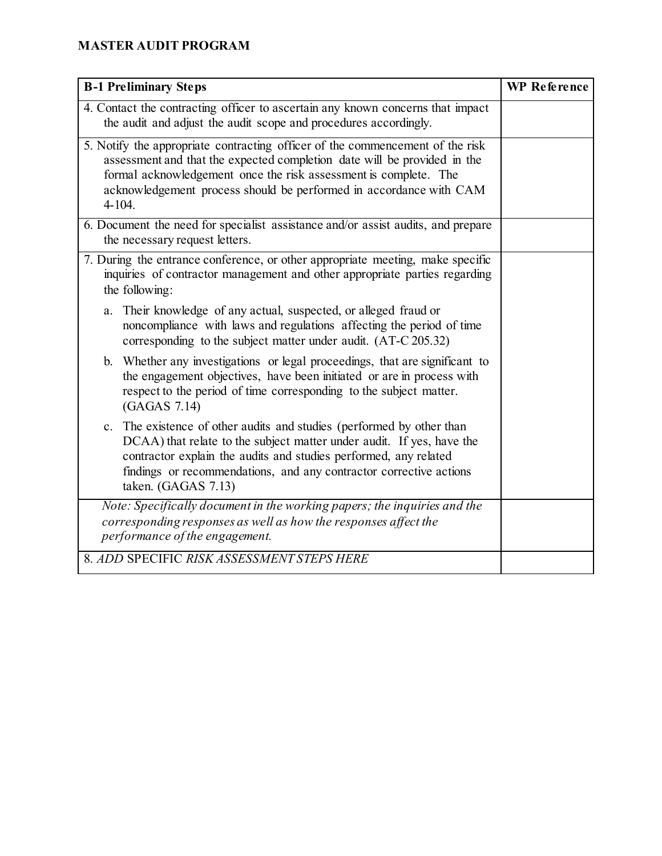| <b>B-1 Preliminary Steps</b>                                                                                                                                                                                                                                                                                                   | <b>WP</b> Reference |
|--------------------------------------------------------------------------------------------------------------------------------------------------------------------------------------------------------------------------------------------------------------------------------------------------------------------------------|---------------------|
| 4. Contact the contracting officer to ascertain any known concerns that impact<br>the audit and adjust the audit scope and procedures accordingly.                                                                                                                                                                             |                     |
| 5. Notify the appropriate contracting officer of the commencement of the risk<br>assessment and that the expected completion date will be provided in the<br>formal acknowledgement once the risk assessment is complete. The<br>acknowledgement process should be performed in accordance with CAM<br>$4 - 104.$              |                     |
| 6. Document the need for specialist assistance and/or assist audits, and prepare<br>the necessary request letters.                                                                                                                                                                                                             |                     |
| 7. During the entrance conference, or other appropriate meeting, make specific<br>inquiries of contractor management and other appropriate parties regarding<br>the following:                                                                                                                                                 |                     |
| Their knowledge of any actual, suspected, or alleged fraud or<br>a.<br>noncompliance with laws and regulations affecting the period of time<br>corresponding to the subject matter under audit. (AT-C 205.32)                                                                                                                  |                     |
| Whether any investigations or legal proceedings, that are significant to<br>$\mathbf{b}$ .<br>the engagement objectives, have been initiated or are in process with<br>respect to the period of time corresponding to the subject matter.<br>(GAGAS 7.14)                                                                      |                     |
| The existence of other audits and studies (performed by other than<br>$\mathbf{c}$ .<br>DCAA) that relate to the subject matter under audit. If yes, have the<br>contractor explain the audits and studies performed, any related<br>findings or recommendations, and any contractor corrective actions<br>taken. (GAGAS 7.13) |                     |
| Note: Specifically document in the working papers; the inquiries and the<br>corresponding responses as well as how the responses affect the<br>performance of the engagement.                                                                                                                                                  |                     |
| 8. ADD SPECIFIC RISK ASSESSMENT STEPS HERE                                                                                                                                                                                                                                                                                     |                     |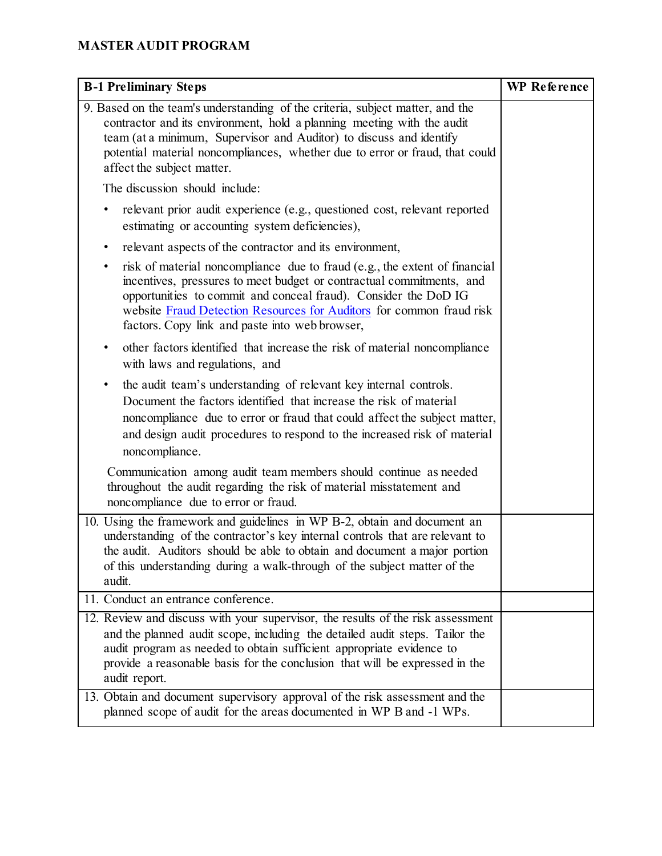| <b>B-1 Preliminary Steps</b>                                                                                                                                                                                                                                                                                                                         | <b>WP</b> Reference |
|------------------------------------------------------------------------------------------------------------------------------------------------------------------------------------------------------------------------------------------------------------------------------------------------------------------------------------------------------|---------------------|
| 9. Based on the team's understanding of the criteria, subject matter, and the<br>contractor and its environment, hold a planning meeting with the audit<br>team (at a minimum, Supervisor and Auditor) to discuss and identify<br>potential material noncompliances, whether due to error or fraud, that could<br>affect the subject matter.         |                     |
| The discussion should include:                                                                                                                                                                                                                                                                                                                       |                     |
| relevant prior audit experience (e.g., questioned cost, relevant reported<br>٠<br>estimating or accounting system deficiencies),                                                                                                                                                                                                                     |                     |
| relevant aspects of the contractor and its environment,<br>٠                                                                                                                                                                                                                                                                                         |                     |
| risk of material noncompliance due to fraud (e.g., the extent of financial<br>٠<br>incentives, pressures to meet budget or contractual commitments, and<br>opportunities to commit and conceal fraud). Consider the DoD IG<br>website Fraud Detection Resources for Auditors for common fraud risk<br>factors. Copy link and paste into web browser, |                     |
| other factors identified that increase the risk of material noncompliance<br>$\bullet$<br>with laws and regulations, and                                                                                                                                                                                                                             |                     |
| the audit team's understanding of relevant key internal controls.<br>٠<br>Document the factors identified that increase the risk of material<br>noncompliance due to error or fraud that could affect the subject matter,<br>and design audit procedures to respond to the increased risk of material<br>noncompliance.                              |                     |
| Communication among audit team members should continue as needed<br>throughout the audit regarding the risk of material misstatement and<br>noncompliance due to error or fraud.                                                                                                                                                                     |                     |
| 10. Using the framework and guidelines in WP B-2, obtain and document an<br>understanding of the contractor's key internal controls that are relevant to<br>the audit. Auditors should be able to obtain and document a major portion<br>of this understanding during a walk-through of the subject matter of the<br>audit.                          |                     |
| 11. Conduct an entrance conference.                                                                                                                                                                                                                                                                                                                  |                     |
| 12. Review and discuss with your supervisor, the results of the risk assessment<br>and the planned audit scope, including the detailed audit steps. Tailor the<br>audit program as needed to obtain sufficient appropriate evidence to<br>provide a reasonable basis for the conclusion that will be expressed in the<br>audit report.               |                     |
| 13. Obtain and document supervisory approval of the risk assessment and the<br>planned scope of audit for the areas documented in WP B and -1 WPs.                                                                                                                                                                                                   |                     |